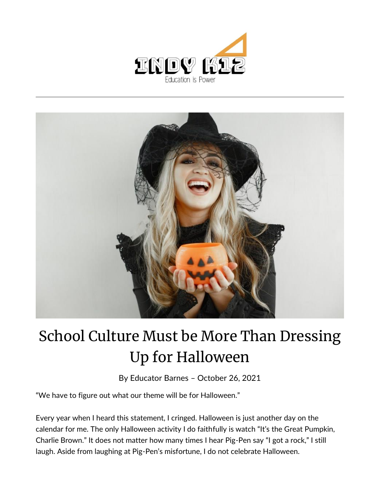



## School Culture Must be More Than Dressing Up for Halloween

By [Educator Barnes](https://indy.education/author/shicole/) – October 26, 2021

"We have to figure out what our theme will be for Halloween."

Every year when I heard this statement, I cringed. Halloween is just another day on the calendar for me. The only Halloween activity I do faithfully is watch "It's the Great Pumpkin, Charlie Brown." It does not matter how many times I hear Pig-Pen say "I got a rock," I still laugh. Aside from laughing at Pig-Pen's misfortune, I do not celebrate Halloween.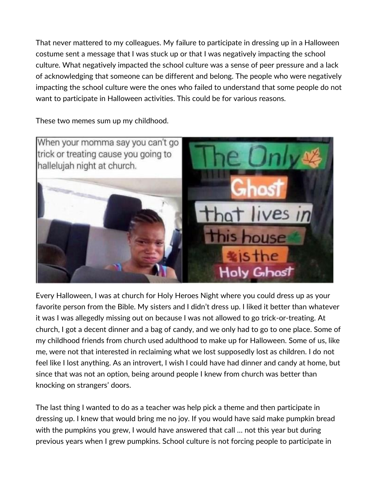That never mattered to my colleagues. My failure to participate in dressing up in a Halloween costume sent a message that I was stuck up or that I was negatively impacting the school culture. What negatively impacted the school culture was a sense of peer pressure and a lack of acknowledging that someone can be different and belong. The people who were negatively impacting the school culture were the ones who failed to understand that some people do not want to participate in Halloween activities. This could be for various reasons.

These two memes sum up my childhood.



Every Halloween, I was at church for Holy Heroes Night where you could dress up as your favorite person from the Bible. My sisters and I didn't dress up. I liked it better than whatever it was I was allegedly missing out on because I was not allowed to go trick-or-treating. At church, I got a decent dinner and a bag of candy, and we only had to go to one place. Some of my childhood friends from church used adulthood to make up for Halloween. Some of us, like me, were not that interested in reclaiming what we lost supposedly lost as children. I do not feel like I lost anything. As an introvert, I wish I could have had dinner and candy at home, but since that was not an option, being around people I knew from church was better than knocking on strangers' doors.

The last thing I wanted to do as a teacher was help pick a theme and then participate in dressing up. I knew that would bring me no joy. If you would have said make pumpkin bread with the pumpkins you grew, I would have answered that call … not this year but during previous years when I grew pumpkins. School culture is not forcing people to participate in